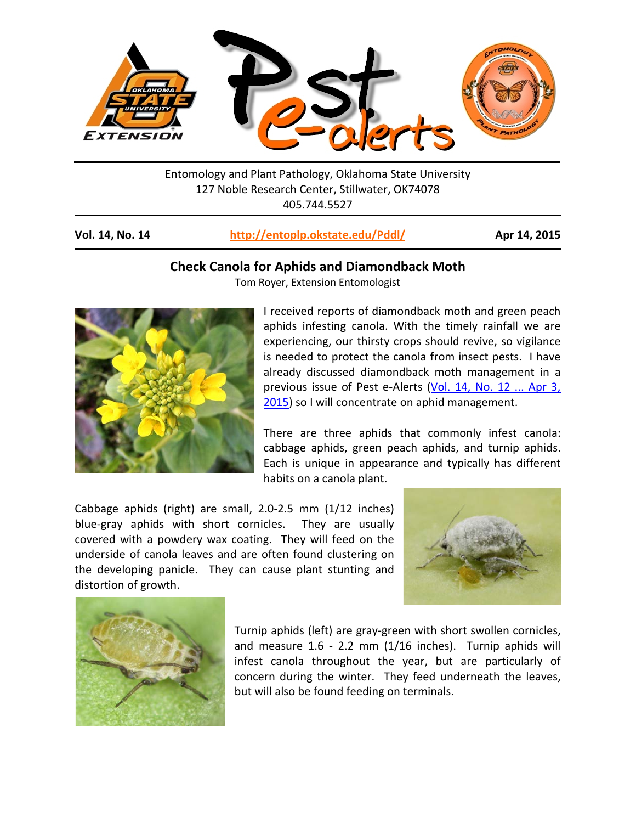

Entomology and Plant Pathology, Oklahoma State University 127 Noble Research Center, Stillwater, OK74078 405.744.5527

**Vol. 14, No. 14 <http://entoplp.okstate.edu/Pddl/> Apr 14, 2015**

## **Check Canola for Aphids and Diamondback Moth**

Tom Royer, Extension Entomologist



I received reports of diamondback moth and green peach aphids infesting canola. With the timely rainfall we are experiencing, our thirsty crops should revive, so vigilance is needed to protect the canola from insect pests. I have already discussed diamondback moth management in a previous issue of Pest e-Alerts (Vol. 14, No. 12 ... Apr 3, [2015\)](http://entoplp.okstate.edu/pddl/pddl/2015/PA14-12.pdf) so I will concentrate on aphid management.

There are three aphids that commonly infest canola: cabbage aphids, green peach aphids, and turnip aphids. Each is unique in appearance and typically has different habits on a canola plant.

Cabbage aphids (right) are small, 2.0-2.5 mm (1/12 inches) blue-gray aphids with short cornicles. They are usually covered with a powdery wax coating. They will feed on the underside of canola leaves and are often found clustering on the developing panicle. They can cause plant stunting and distortion of growth.





Turnip aphids (left) are gray-green with short swollen cornicles, and measure 1.6 - 2.2 mm (1/16 inches). Turnip aphids will infest canola throughout the year, but are particularly of concern during the winter. They feed underneath the leaves, but will also be found feeding on terminals.